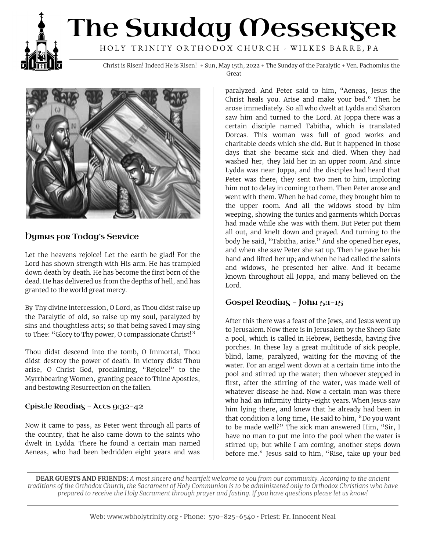

# The Sunday Messenger HOLY TRINITY ORTHODOX CHURCH - WILKES BARRE, PA

Christ is Risen! Indeed He is Risen! + Sun, May 15th, 2022 + The Sunday of the Paralytic + Ven. Pachomius the Great



### **Dymus for Today's Service**

Let the heavens rejoice! Let the earth be glad! For the Lord has shown strength with His arm. He has trampled down death by death. He has become the first born of the dead. He has delivered us from the depths of hell, and has granted to the world great mercy.

By Thy divine intercession, O Lord, as Thou didst raise up the Paralytic of old, so raise up my soul, paralyzed by sins and thoughtless acts; so that being saved I may sing to Thee: "Glory to Thy power, O compassionate Christ!"

Thou didst descend into the tomb, O Immortal, Thou didst destroy the power of death. In victory didst Thou arise, O Christ God, proclaiming, "Rejoice!" to the Myrrhbearing Women, granting peace to Thine Apostles, and bestowing Resurrection on the fallen.

#### Episcle Reading - Accs 9:32-42

Now it came to pass, as Peter went through all parts of the country, that he also came down to the saints who dwelt in Lydda. There he found a certain man named Aeneas, who had been bedridden eight years and was

paralyzed. And Peter said to him, "Aeneas, Jesus the Christ heals you. Arise and make your bed." Then he arose immediately. So all who dwelt at Lydda and Sharon saw him and turned to the Lord. At Joppa there was a certain disciple named Tabitha, which is translated Dorcas. This woman was full of good works and charitable deeds which she did. But it happened in those days that she became sick and died. When they had washed her, they laid her in an upper room. And since Lydda was near Joppa, and the disciples had heard that Peter was there, they sent two men to him, imploring him not to delay in coming to them. Then Peter arose and went with them. When he had come, they brought him to the upper room. And all the widows stood by him weeping, showing the tunics and garments which Dorcas had made while she was with them. But Peter put them all out, and knelt down and prayed. And turning to the body he said, "Tabitha, arise." And she opened her eyes, and when she saw Peter she sat up. Then he gave her his hand and lifted her up; and when he had called the saints and widows, he presented her alive. And it became known throughout all Joppa, and many believed on the Lord.

### Gospel Reading - John 5:1-15

After this there was a feast of the Jews, and Jesus went up to Jerusalem. Now there is in Jerusalem by the Sheep Gate a pool, which is called in Hebrew, Bethesda, having five porches. In these lay a great multitude of sick people, blind, lame, paralyzed, waiting for the moving of the water. For an angel went down at a certain time into the pool and stirred up the water; then whoever stepped in first, after the stirring of the water, was made well of whatever disease he had. Now a certain man was there who had an infirmity thirty-eight years. When Jesus saw him lying there, and knew that he already had been in that condition a long time, He said to him, "Do you want to be made well?" The sick man answered Him, "Sir, I have no man to put me into the pool when the water is stirred up; but while I am coming, another steps down before me." Jesus said to him, "Rise, take up your bed

**DEAR GUESTS AND FRIENDS:** A most sincere and heartfelt welcome to you from our community. According to the ancient traditions of the Orthodox Church, the Sacrament of Holy Communion is to be administered only to Orthodox Christians who have prepared to receive the Holy Sacrament through prayer and fasting. If you have questions please let us know!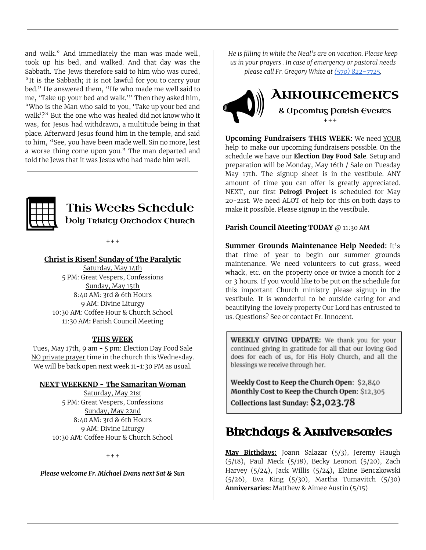and walk." And immediately the man was made well, took up his bed, and walked. And that day was the Sabbath. The Jews therefore said to him who was cured, "It is the Sabbath; it is not lawful for you to carry your bed." He answered them, "He who made me well said to me, 'Take up your bed and walk.'" Then they asked him, "Who is the Man who said to you, 'Take up your bed and walk'?" But the one who was healed did not know who it was, for Jesus had withdrawn, a multitude being in that place. Afterward Jesus found him in the temple, and said to him, "See, you have been made well. Sin no more, lest a worse thing come upon you." The man departed and told the Jews that it was Jesus who had made him well.



# This Weeks Schedule

**Doly Trinity Orthodox Church** 

 $+++$ 

#### **Christ is Risen! Sunday of The Paralytic**

Saturday, May 14th 5 PM: Great Vespers, Confessions Sunday, May 15th 8:40 AM: 3rd & 6th Hours 9 AM: Divine Liturgy 10:30 AM: Coffee Hour & Church School 11:30 AM**:** Parish Council Meeting

#### **THIS WEEK**

Tues, May 17th, 9 am - 5 pm: Election Day Food Sale NO private prayer time in the church this Wednesday. We will be back open next week 11-1:30 PM as usual.

#### **NEXT WEEKEND - The Samaritan Woman**

Saturday, May 21st 5 PM: Great Vespers, Confessions Sunday, May 22nd 8:40 AM: 3rd & 6th Hours 9 AM: Divine Liturgy 10:30 AM: Coffee Hour & Church School

 $+++$ 

*Please welcome Fr. Michael Evans next Sat & Sun*

*He is filling in while the Neal's are on vacation. Please keep us in your prayers . In case of emergency or pastoral needs please call Fr. Gregory White at (570) [822-7725.](https://www.google.com/search?q=holy+resurrection+orthodox+church&oq=holy+resurrection+orthodox+church&aqs=chrome..69i57j46i175i199i512l6j0i512j46i175i199i512j0i512.4710j0j7&sourceid=chrome&ie=UTF-8#)*



**Upcoming Fundraisers THIS WEEK:** We need YOUR help to make our upcoming fundraisers possible. On the schedule we have our **Election Day Food Sale**. Setup and preparation will be Monday, May 16th / Sale on Tuesday May 17th. The signup sheet is in the vestibule. ANY amount of time you can offer is greatly appreciated. NEXT, our first **Peirogi Project** is scheduled for May 20-21st. We need ALOT of help for this on both days to make it possible. Please signup in the vestibule.

**Parish Council Meeting TODAY** @ 11:30 AM

**Summer Grounds Maintenance Help Needed:** It's that time of year to begin our summer grounds maintenance. We need volunteers to cut grass, weed whack, etc. on the property once or twice a month for 2 or 3 hours. If you would like to be put on the schedule for this important Church ministry please signup in the vestibule. It is wonderful to be outside caring for and beautifying the lovely property Our Lord has entrusted to us. Questions? See or contact Fr. Innocent.

WEEKLY GIVING UPDATE: We thank you for your continued giving in gratitude for all that our loving God does for each of us, for His Holy Church, and all the blessings we receive through her.

Weekly Cost to Keep the Church Open: \$2,840 Monthly Cost to Keep the Church Open: \$12,305 Collections last Sunday: \$2,023.78

# Birthdays & Anniversaries

**May Birthdays:** Joann Salazar (5/3), Jeremy Haugh (5/18), Paul Meck (5/18), Becky Leonori (5/20), Zach Harvey (5/24), Jack Willis (5/24), Elaine Benczkowski (5/26), Eva King (5/30), Martha Tumavitch (5/30) **Anniversaries:** Matthew & Aimee Austin (5/15)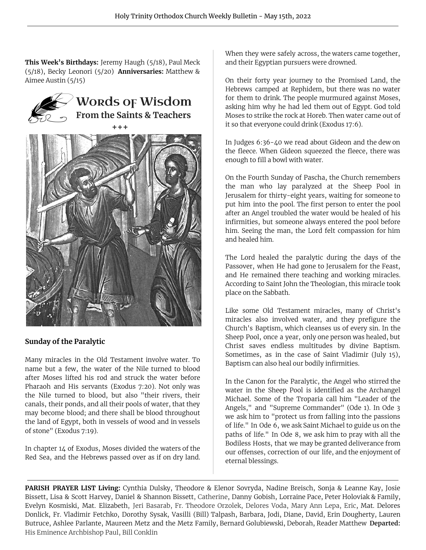**This Week's Birthdays:** Jeremy Haugh (5/18), Paul Meck (5/18), Becky Leonori (5/20) **Anniversaries:** Matthew & Aimee Austin (5/15)



#### **Sunday of the Paralytic**

Many miracles in the Old Testament involve water. To name but a few, the water of the Nile turned to blood after Moses lifted his rod and struck the water before Pharaoh and His servants (Exodus 7:20). Not only was the Nile turned to blood, but also "their rivers, their canals, their ponds, and all their pools of water, that they may become blood; and there shall be blood throughout the land of Egypt, both in vessels of wood and in vessels of stone" (Exodus 7:19).

In chapter 14 of Exodus, Moses divided the waters of the Red Sea, and the Hebrews passed over as if on dry land. When they were safely across, the waters came together, and their Egyptian pursuers were drowned.

On their forty year journey to the Promised Land, the Hebrews camped at Rephidem, but there was no water for them to drink. The people murmured against Moses, asking him why he had led them out of Egypt. God told Moses to strike the rock at Horeb. Then water came out of it so that everyone could drink (Exodus 17:6).

In Judges 6:36-40 we read about Gideon and the dew on the fleece. When Gideon squeezed the fleece, there was enough to fill a bowl with water.

On the Fourth Sunday of Pascha, the Church remembers the man who lay paralyzed at the Sheep Pool in Jerusalem for thirty-eight years, waiting for someone to put him into the pool. The first person to enter the pool after an Angel troubled the water would be healed of his infirmities, but someone always entered the pool before him. Seeing the man, the Lord felt compassion for him and healed him.

The Lord healed the paralytic during the days of the Passover, when He had gone to Jerusalem for the Feast, and He remained there teaching and working miracles. According to Saint John the Theologian, this miracle took place on the Sabbath.

Like some Old Testament miracles, many of Christ's miracles also involved water, and they prefigure the Church's Baptism, which cleanses us of every sin. In the Sheep Pool, once a year, only one person was healed, but Christ saves endless multitudes by divine Baptism. Sometimes, as in the case of Saint Vladimir (July 15), Baptism can also heal our bodily infirmities.

In the Canon for the Paralytic, the Angel who stirred the water in the Sheep Pool is identified as the Archangel Michael. Some of the Troparia call him "Leader of the Angels," and "Supreme Commander" (Ode 1). In Ode 3 we ask him to "protect us from falling into the passions of life." In Ode 6, we ask Saint Michael to guide us on the paths of life." In Ode 8, we ask him to pray with all the Bodiless Hosts, that we may be granted deliverance from our offenses, correction of our life, and the enjoyment of eternal blessings.

**PARISH PRAYER LIST Living:** Cynthia Dulsky, Theodore & Elenor Sovryda, Nadine Breisch, Sonja & Leanne Kay, Josie Bissett, Lisa & Scott Harvey, Daniel & Shannon Bissett, Catherine, Danny Gobish, Lorraine Pace, Peter Holoviak & Family, Evelyn Kosmiski, Mat. Elizabeth, Jeri Basarab, Fr. Theodore Orzolek, Delores Voda, Mary Ann Lepa, Eric, Mat. Delores Donlick, Fr. Vladimir Fetchko, Dorothy Sysak, Vasilli (Bill) Talpash, Barbara, Jodi, Diane, David, Erin Dougherty, Lauren Butruce, Ashlee Parlante, Maureen Metz and the Metz Family, Bernard Golubiewski, Deborah, Reader Matthew **Departed:** His Eminence Archbishop Paul, Bill Conklin